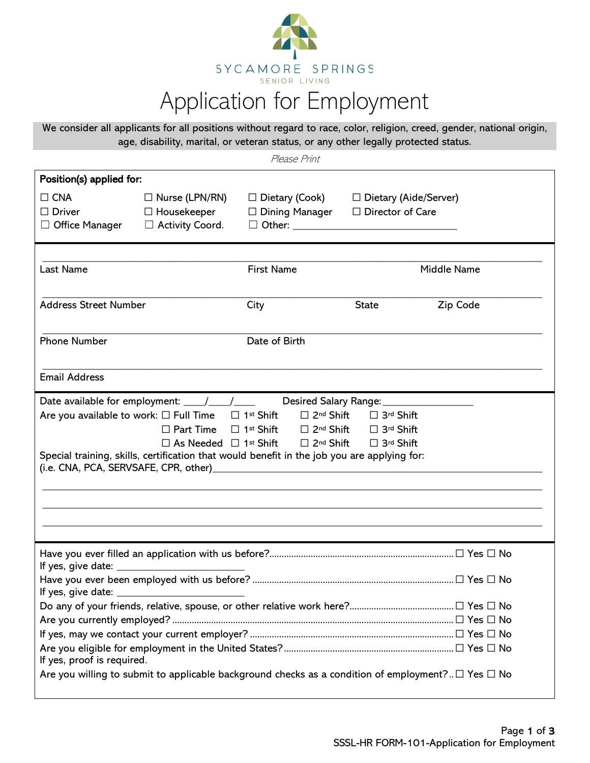

# Application for Employment

We consider all applicants for all positions without regard to race, color, religion, creed, gender, national origin, age, disability, marital, or veteran status, or any other legally protected status.

Please Print

| Position(s) applied for:                                                                                                                                                                                                                                                                   |                                                                       |                                                                                                                                                                                                                                                       |                                                    |             |  |
|--------------------------------------------------------------------------------------------------------------------------------------------------------------------------------------------------------------------------------------------------------------------------------------------|-----------------------------------------------------------------------|-------------------------------------------------------------------------------------------------------------------------------------------------------------------------------------------------------------------------------------------------------|----------------------------------------------------|-------------|--|
| $\Box$ CNA<br>$\Box$ Driver<br>$\Box$ Office Manager                                                                                                                                                                                                                                       | $\Box$ Nurse (LPN/RN)<br>$\Box$ Housekeeper<br>$\Box$ Activity Coord. | $\Box$ Dietary (Cook)<br>$\Box$ Dining Manager                                                                                                                                                                                                        | $\Box$ Dietary (Aide/Server)<br>□ Director of Care |             |  |
| Last Name                                                                                                                                                                                                                                                                                  |                                                                       | <b>First Name</b>                                                                                                                                                                                                                                     |                                                    | Middle Name |  |
|                                                                                                                                                                                                                                                                                            |                                                                       |                                                                                                                                                                                                                                                       |                                                    |             |  |
| <b>Address Street Number</b>                                                                                                                                                                                                                                                               |                                                                       | City                                                                                                                                                                                                                                                  | <b>State</b>                                       | Zip Code    |  |
| <b>Phone Number</b>                                                                                                                                                                                                                                                                        |                                                                       | Date of Birth                                                                                                                                                                                                                                         |                                                    |             |  |
| <b>Email Address</b>                                                                                                                                                                                                                                                                       |                                                                       |                                                                                                                                                                                                                                                       |                                                    |             |  |
|                                                                                                                                                                                                                                                                                            |                                                                       |                                                                                                                                                                                                                                                       |                                                    |             |  |
| Are you available to work: $\square$ Full Time                                                                                                                                                                                                                                             |                                                                       | $\Box$ 1st Shift<br>$\Box$ 2 <sup>nd</sup> Shift                                                                                                                                                                                                      | □ 3rd Shift                                        |             |  |
|                                                                                                                                                                                                                                                                                            | $\Box$ Part Time                                                      | □ 1st Shift<br>$\square$ 2 <sup>nd</sup> Shift                                                                                                                                                                                                        | □ 3rd Shift                                        |             |  |
| (i.e. CNA, PCA, SERVSAFE, CPR, other)                                                                                                                                                                                                                                                      | $\Box$ As Needed $\Box$ 1st Shift                                     | $\Box$ 2 <sup>nd</sup> Shift<br>Special training, skills, certification that would benefit in the job you are applying for:<br><u> 1989 - Johann Stoff, deutscher Stoffen und der Stoffen und der Stoffen und der Stoffen und der Stoffen und der</u> | □ 3rd Shift                                        |             |  |
|                                                                                                                                                                                                                                                                                            |                                                                       |                                                                                                                                                                                                                                                       |                                                    |             |  |
|                                                                                                                                                                                                                                                                                            |                                                                       |                                                                                                                                                                                                                                                       |                                                    |             |  |
| If yes, give date: $\frac{1}{2}$ and $\frac{1}{2}$ and $\frac{1}{2}$ and $\frac{1}{2}$ and $\frac{1}{2}$ and $\frac{1}{2}$ and $\frac{1}{2}$ and $\frac{1}{2}$ and $\frac{1}{2}$ and $\frac{1}{2}$ and $\frac{1}{2}$ and $\frac{1}{2}$ and $\frac{1}{2}$ and $\frac{1}{2}$ and $\frac{1}{$ |                                                                       |                                                                                                                                                                                                                                                       |                                                    |             |  |
|                                                                                                                                                                                                                                                                                            |                                                                       |                                                                                                                                                                                                                                                       |                                                    |             |  |
|                                                                                                                                                                                                                                                                                            |                                                                       |                                                                                                                                                                                                                                                       |                                                    |             |  |
|                                                                                                                                                                                                                                                                                            |                                                                       |                                                                                                                                                                                                                                                       |                                                    |             |  |
|                                                                                                                                                                                                                                                                                            |                                                                       |                                                                                                                                                                                                                                                       |                                                    |             |  |
| If yes, proof is required.                                                                                                                                                                                                                                                                 |                                                                       |                                                                                                                                                                                                                                                       |                                                    |             |  |
|                                                                                                                                                                                                                                                                                            |                                                                       | Are you willing to submit to applicable background checks as a condition of employment? $\Box$ Yes $\Box$ No                                                                                                                                          |                                                    |             |  |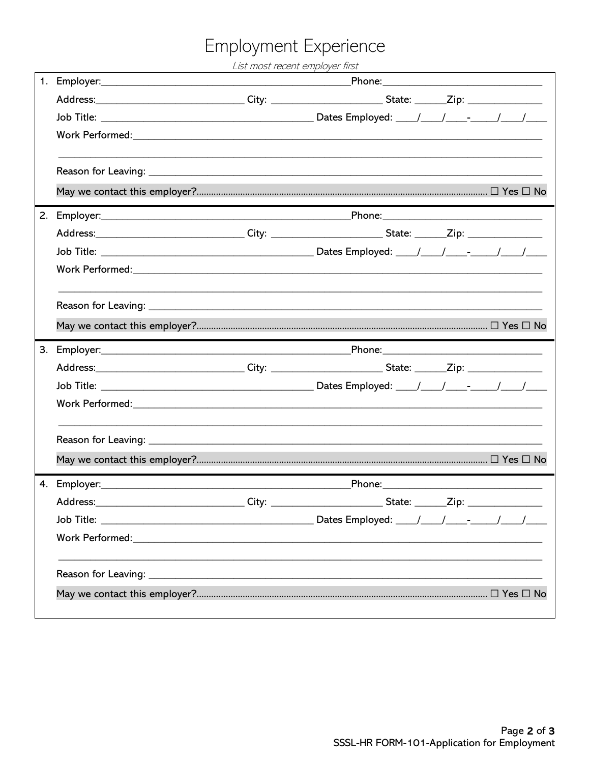# Employment Experience

List most recent employer first

|    | Address:________________________________City: _________________________State: _______Zip: ____________________                                                                                                                 |  |                                                                                                     |  |  |
|----|--------------------------------------------------------------------------------------------------------------------------------------------------------------------------------------------------------------------------------|--|-----------------------------------------------------------------------------------------------------|--|--|
|    |                                                                                                                                                                                                                                |  |                                                                                                     |  |  |
|    |                                                                                                                                                                                                                                |  |                                                                                                     |  |  |
|    |                                                                                                                                                                                                                                |  |                                                                                                     |  |  |
|    |                                                                                                                                                                                                                                |  |                                                                                                     |  |  |
|    |                                                                                                                                                                                                                                |  |                                                                                                     |  |  |
| 2. |                                                                                                                                                                                                                                |  |                                                                                                     |  |  |
|    | Address:_______________________________City: ________________________State: _______Zip: _________________                                                                                                                      |  |                                                                                                     |  |  |
|    |                                                                                                                                                                                                                                |  |                                                                                                     |  |  |
|    |                                                                                                                                                                                                                                |  |                                                                                                     |  |  |
|    |                                                                                                                                                                                                                                |  |                                                                                                     |  |  |
|    |                                                                                                                                                                                                                                |  |                                                                                                     |  |  |
| 3. |                                                                                                                                                                                                                                |  |                                                                                                     |  |  |
|    |                                                                                                                                                                                                                                |  |                                                                                                     |  |  |
|    | Address:_______________________________City: ________________________State: _______Zip: _________________                                                                                                                      |  |                                                                                                     |  |  |
|    |                                                                                                                                                                                                                                |  |                                                                                                     |  |  |
|    | Work Performed: Note and the set of the set of the set of the set of the set of the set of the set of the set of the set of the set of the set of the set of the set of the set of the set of the set of the set of the set of |  |                                                                                                     |  |  |
|    |                                                                                                                                                                                                                                |  |                                                                                                     |  |  |
|    |                                                                                                                                                                                                                                |  |                                                                                                     |  |  |
|    |                                                                                                                                                                                                                                |  |                                                                                                     |  |  |
|    | 4. Employer: 2008 2010 2020 2020 2020 2021 2021 2022 2021 2022 2021 2022 2022 2021 2022 2021 2022 2021 2022 20                                                                                                                 |  |                                                                                                     |  |  |
|    | Address:                                                                                                                                                                                                                       |  | _____________________________City: __________________________State: _______Zip: ___________________ |  |  |
|    |                                                                                                                                                                                                                                |  |                                                                                                     |  |  |
|    |                                                                                                                                                                                                                                |  |                                                                                                     |  |  |
|    |                                                                                                                                                                                                                                |  |                                                                                                     |  |  |